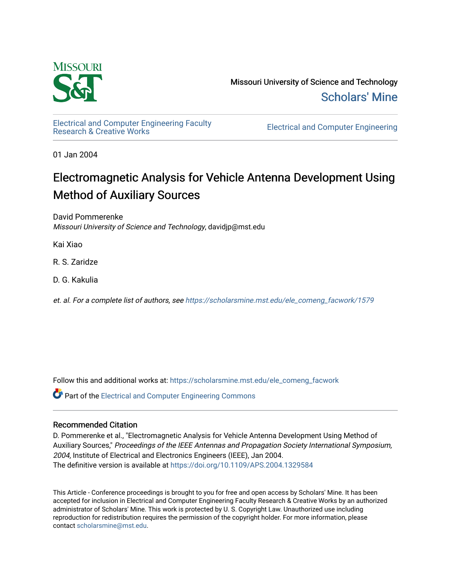

Missouri University of Science and Technology [Scholars' Mine](https://scholarsmine.mst.edu/) 

[Electrical and Computer Engineering Faculty](https://scholarsmine.mst.edu/ele_comeng_facwork)

**Electrical and Computer Engineering** 

01 Jan 2004

# Electromagnetic Analysis for Vehicle Antenna Development Using Method of Auxiliary Sources

David Pommerenke Missouri University of Science and Technology, davidjp@mst.edu

Kai Xiao

R. S. Zaridze

D. G. Kakulia

et. al. For a complete list of authors, see [https://scholarsmine.mst.edu/ele\\_comeng\\_facwork/1579](https://scholarsmine.mst.edu/ele_comeng_facwork/1579) 

Follow this and additional works at: [https://scholarsmine.mst.edu/ele\\_comeng\\_facwork](https://scholarsmine.mst.edu/ele_comeng_facwork?utm_source=scholarsmine.mst.edu%2Fele_comeng_facwork%2F1579&utm_medium=PDF&utm_campaign=PDFCoverPages)

**C** Part of the Electrical and Computer Engineering Commons

# Recommended Citation

D. Pommerenke et al., "Electromagnetic Analysis for Vehicle Antenna Development Using Method of Auxiliary Sources," Proceedings of the IEEE Antennas and Propagation Society International Symposium, 2004, Institute of Electrical and Electronics Engineers (IEEE), Jan 2004. The definitive version is available at <https://doi.org/10.1109/APS.2004.1329584>

This Article - Conference proceedings is brought to you for free and open access by Scholars' Mine. It has been accepted for inclusion in Electrical and Computer Engineering Faculty Research & Creative Works by an authorized administrator of Scholars' Mine. This work is protected by U. S. Copyright Law. Unauthorized use including reproduction for redistribution requires the permission of the copyright holder. For more information, please contact [scholarsmine@mst.edu](mailto:scholarsmine@mst.edu).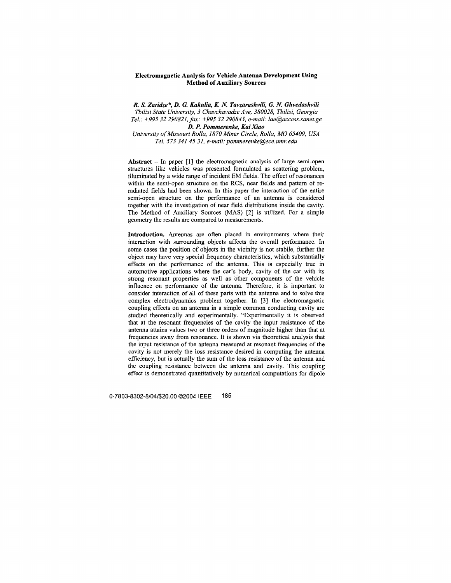## **Electromagnetic Analysis for Vehicle Antenna Development Using Method of Auxiliary Sources**

*R.* **S.** *Zaridze\*, D. G. Kakulia, K. N. Tavzarashvili, G. N. Ghvedashvili Tbilisi State University, 3 Chavchavaa'ze Ave, 380028, Tbilisi, Georgia Tel.: +995 32 290821, fax: +995 32 29084.i. e-mail: lae@access.sanet.ge D. P. Pommerenke, Kai Xiao University of Missouri Rolla, I870 Miner Circle, Rolla, MO 65409, USA Tel. 573 341 45 31, e-mail[: pommerenke@ece.umr.edu](mailto:pommerenke@ece.umr.edu)* 

**Abstract** - In paper [l] the electromagnetic analysis of large semi-open structures like vehicles was presented formulated as scattering problem, illuminated by a wide range of incident EM fields. The effect of resonances within the semi-open structure on the RCS, near fields and pattem of reradiated fields had been shown. In this paper the interaction of the entire semi-open structure on the performance of an antenna is considered together with the investigation of near field distributions inside the cavity. The Method of Auxiliary Sources (MAS) *[2]* is utilized. For a simple geometry the results are compared to measurements.

**Introduction.** Antennas are often placed in environments where their interaction with surrounding objects affects the overall performance. In some cases the position of objects in the vicinity is not stabile, further the object may have very special frequency characteristics, which substantially effects on the performance of the antenna. This is especially true in automotive applications where the car's body, cavity of the car with its strong resonant properties as well as other components of the vehicle influence on performance of the antenna. Therefore, it is important to consider interaction of all of these parts with the antenna and to solve this complex electrodynamics problem together. In **[3]** the electromagnetic coupling effects on an antenna in a simple common conducting cavity are studied theoretically and experimentally. "Experimentally it is observed that at the resonant frequencies of the cavity the input resistance of the antenna attains values two or three orders of magnitude higher than that at frequencies away from resonance. It is shown via theoretical analysis that the input resistance of the antenna measured at resonant frequencies of the cavity is not merely the loss resistance desired in computing the antenna efficiency, but is actually the sum of the loss resistance of the antenna and the coupling resistance between the antenna and cavity. This coupling effect is demonstrated quantitatively by numerical computations for dipole

0-7803-8302-8/04/\$20.00 @2004 IEEE 185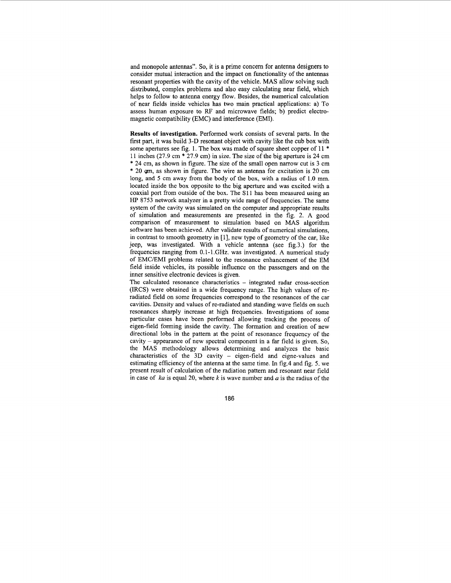and monopole antennas". *So,* it is a prime concern for antenna designers to consider mutual interaction and the impact on functionality of the antennas resonant properties with the cavity of the vehicle. **MAS** allow solving such distributed, complex problems and also easy calculating near field, which helps to follow to antenna energy flow. Besides, the numerical calculation of near fields inside vehicles has two main practical applications: a) To assess human exposure to RF and microwave fields; b) predict electromagnetic compatibility (EMC) and interference (EMI).

**Results of investigation.** Performed work consists of several parts. In the first part, it was build 3-D resonant object with cavity like the cub box with some apertures see fig. 1. The box was made of square sheet copper of 11  $*$ 11 inches (27.9 cm \* 27.9 cm) in size. The size of the big aperture is 24 cm \* 24 cm, as shown in figure. The size of the small open narrow cut is 3 cm \* 20 **qm,** as shown in figure. The wire as antenna for excitation is 20 cm long, and 5 cm away from the body of the box, with a radius of 1.0 mm. located inside the box opposite to the big aperture and was excited with a coaxial port from outside of the box. The S11 has been measured using **an**  HP 8753 network analyzer in a pretty wide range of frequencies. The same system of the cavity was simulated on the computer and appropriate results of simulation and measurements are presented in the fig. 2. **A** good comparison of measurement to simulation based on **MAS** algorithm software has been achieved. After validate results of numerical simulations, in contrast to smooth geometry in [1], new type of geometry of the car, like jeep, was investigated. With a vehicle antenna (see fig.3.) for the frequencies ranging from 0.1-1 .GHz. was investigated. A numerical study of EMC/EMI problems related to the resonance enhancement of the EM field inside vehicles, its possible influence on the passengers and on the inner sensitive electronic devices is given.

The calculated resonance characteristics - integrated radar cross-section (IRCS) were obtained in a wide frequency range. The high values of reradiated field on some frequencies correspond to the resonances of the car cavities. Density and values of re-radiated and standing wave fields on such resonances sharply increase at high frequencies. Investigations of some particular cases have been performed allowing tracking the process of eigen-field forming inside the cavity. The formation and creation of new directional lobs in the pattern at the point of resonance frequency of the cavity - appearance of new spectral component in a far field is given. **So,**  the **MAS** methodology allows determining and analyzes the basic characteristics of the 3D cavity - eigen-field and eigne-values and estimating efficiency of the antenna at the same time. In fig.4 and fig. 5. we present result of calculation of the radiation pattern and resonant near field in case of *ka* is equal 20, where *k* is wave number and *a* is the radius of the

186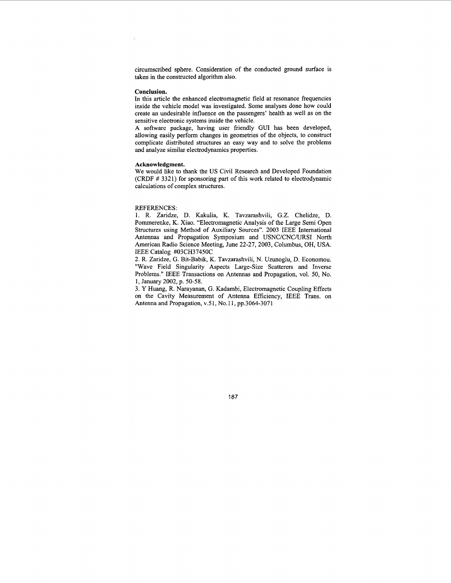circumscribed sphere. Consideration of the conducted ground surface is taken in the constructed algorithm also.

#### **Conclusion.**

In this article the enhanced electromagnetic field at resonance frequencies inside the vehicle model was investigated. Some analyses done how could create an undesirable influence on the passengers' health as well as on the sensitive electronic systems inside the vehicle.

A software package, having user friendly GUI has been developed, allowing easily perform changes in geometries of the objects, to construct complicate distributed structures an easy way and to solve the problems and analyze similar electrodynamics properties.

## **Acknowledgment.**

We would like to thank the US Civil Research and Developed Foundation (CRDF # 3321) for sponsoring part of this work related to electrodynamic calculations of complex structures.

#### REFERENCES:

1. R. Zaridze, D. Kakulia, K. Tavzarashvili, **G.Z.** Chelidze, D. Pommerenke, K. Xiao. "Electromagnetic Analysis of the Large Semi Open Structures using Method of Auxiliary Sources". 2003 IEEE International Antennas and Propagation Symposium and USNC/CNC/URSI North American Radio Science Meeting, June 22-27, 2003, Columbus, OH, USA. IEEE Catalog #03CH37450C

2. R. Zaridze, G. Bit-Babik, K. Tavzarashvili, N. Uzunoglu, D. Economou. "Wave Field Singularity Aspects Large-Size Scatterers and Inverse Problems." IEEE Transactions on Antennas and Propagation, vol. 50, No. 1, January 2002, p. 50-58.

3. *Y* Huang, R. Narayanan, G. Kadambi, Electromagnetic Coupling Effects on the Cavity Measurement of Antenna Efficiency, IEEE Trans. on Antenna and Propagation, v.51, No.11, pp.3064-3071